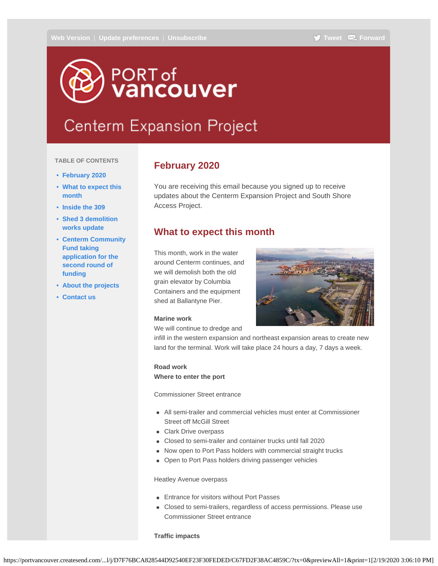# <span id="page-0-0"></span>PORT of<br>**Vancouver**

# **Centerm Expansion Project**

#### **TABLE OF CONTENTS**

- **[February 2020](#page-0-0)**
- **[What to expect this](#page-0-0) [month](#page-0-0)**
- **[Inside the 309](#page-0-0)**
- **[Shed 3 demolition](#page-0-0) [works update](#page-0-0)**
- **[Centerm Community](#page-0-0) [Fund taking](#page-0-0) [application for the](#page-0-0) [second round of](#page-0-0) [funding](#page-0-0)**
- **[About the projects](#page-0-0)**
- **[Contact us](#page-0-0)**

## **February 2020**

You are receiving this email because you signed up to receive updates about the Centerm Expansion Project and South Shore Access Project.

### **What to expect this month**

This month, work in the water around Centerm continues, and we will demolish both the old grain elevator by Columbia Containers and the equipment shed at Ballantyne Pier.

#### **Marine work**

We will continue to dredge and

infill in the western expansion and northeast expansion areas to create new land for the terminal. Work will take place 24 hours a day, 7 days a week.

#### **Road work Where to enter the port**

Commissioner Street entrance

- All semi-trailer and commercial vehicles must enter at Commissioner Street off McGill Street
- Clark Drive overpass
- Closed to semi-trailer and container trucks until fall 2020
- Now open to Port Pass holders with commercial straight trucks
- Open to Port Pass holders driving passenger vehicles

#### Heatley Avenue overpass

- Entrance for visitors without Port Passes
- Closed to semi-trailers, regardless of access permissions. Please use Commissioner Street entrance

#### **Traffic impacts**

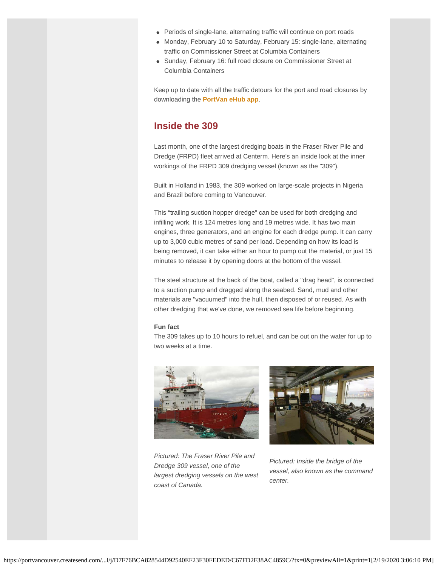- Periods of single-lane, alternating traffic will continue on port roads
- Monday, February 10 to Saturday, February 15: single-lane, alternating traffic on Commissioner Street at Columbia Containers
- Sunday, February 16: full road closure on Commissioner Street at Columbia Containers

Keep up to date with all the traffic detours for the port and road closures by downloading the **[PortVan eHub app](https://portvancouver.createsend1.com/t/j-l-chyjkhk-l-b/)**.

# **Inside the 309**

Last month, one of the largest dredging boats in the Fraser River Pile and Dredge (FRPD) fleet arrived at Centerm. Here's an inside look at the inner workings of the FRPD 309 dredging vessel (known as the "309").

Built in Holland in 1983, the 309 worked on large-scale projects in Nigeria and Brazil before coming to Vancouver.

This "trailing suction hopper dredge" can be used for both dredging and infilling work. It is 124 metres long and 19 metres wide. It has two main engines, three generators, and an engine for each dredge pump. It can carry up to 3,000 cubic metres of sand per load. Depending on how its load is being removed, it can take either an hour to pump out the material, or just 15 minutes to release it by opening doors at the bottom of the vessel.

The steel structure at the back of the boat, called a "drag head", is connected to a suction pump and dragged along the seabed. Sand, mud and other materials are "vacuumed" into the hull, then disposed of or reused. As with other dredging that we've done, we removed sea life before beginning.

#### **Fun fact**

The 309 takes up to 10 hours to refuel, and can be out on the water for up to two weeks at a time.







*Pictured: Inside the bridge of the vessel, also known as the command center.*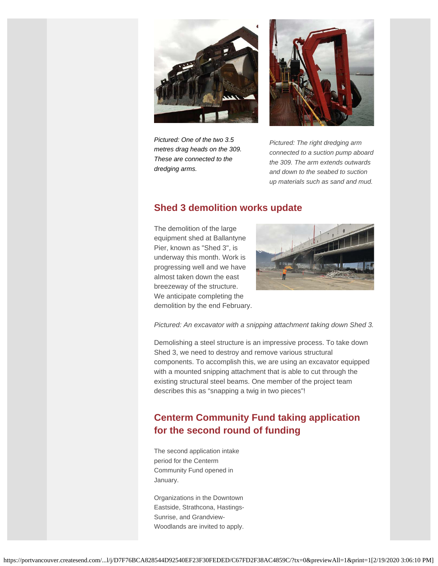



*Pictured: One of the two 3.5 metres drag heads on the 309. These are connected to the dredging arms.*

*Pictured: The right dredging arm connected to a suction pump aboard the 309. The arm extends outwards and down to the seabed to suction up materials such as sand and mud.*

# **Shed 3 demolition works update**

The demolition of the large equipment shed at Ballantyne Pier, known as "Shed 3", is underway this month. Work is progressing well and we have almost taken down the east breezeway of the structure. We anticipate completing the demolition by the end February.



*Pictured: An excavator with a snipping attachment taking down Shed 3.*

Demolishing a steel structure is an impressive process. To take down Shed 3, we need to destroy and remove various structural components. To accomplish this, we are using an excavator equipped with a mounted snipping attachment that is able to cut through the existing structural steel beams. One member of the project team describes this as "snapping a twig in two pieces"!

# **Centerm Community Fund taking application for the second round of funding**

The second application intake period for the Centerm Community Fund opened in January.

Organizations in the Downtown Eastside, Strathcona, Hastings-Sunrise, and Grandview-Woodlands are invited to apply.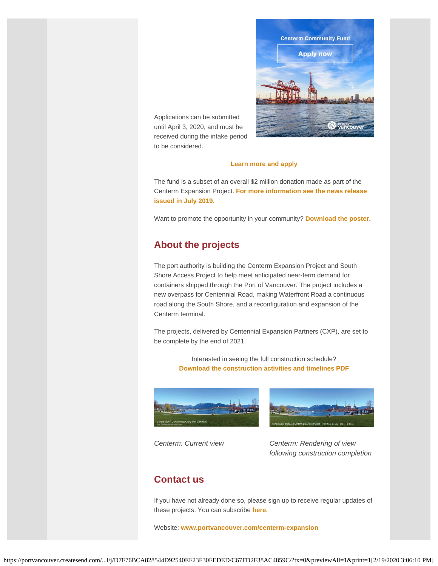

Applications can be submitted until April 3, 2020, and must be received during the intake period to be considered.

#### **[Learn more and apply](https://portvancouver.createsend1.com/t/j-l-chyjkhk-l-n/)**

The fund is a subset of an overall \$2 million donation made as part of the Centerm Expansion Project. **[For more information see the news release](https://portvancouver.createsend1.com/t/j-l-chyjkhk-l-p/) [issued in July 2019.](https://portvancouver.createsend1.com/t/j-l-chyjkhk-l-p/)**

Want to promote the opportunity in your community? **[Download the poster.](https://portvancouver.createsend1.com/t/j-l-chyjkhk-l-x/)**

# **About the projects**

The port authority is building the Centerm Expansion Project and South Shore Access Project to help meet anticipated near-term demand for containers shipped through the Port of Vancouver. The project includes a new overpass for Centennial Road, making Waterfront Road a continuous road along the South Shore, and a reconfiguration and expansion of the Centerm terminal.

The projects, delivered by Centennial Expansion Partners (CXP), are set to be complete by the end of 2021.

> Interested in seeing the full construction schedule? **[Download the construction activities and timelines PDF](https://portvancouver.createsend1.com/t/j-l-chyjkhk-l-m/)**





*Centerm: Current view Centerm: Rendering of view following construction completion*

# **Contact us**

If you have not already done so, please sign up to receive regular updates of these projects. You can subscribe **[here.](https://portvancouver.createsend1.com/t/j-l-chyjkhk-l-c/)**

Website: **[www.portvancouver.com/centerm-expansion](https://portvancouver.createsend1.com/t/j-l-chyjkhk-l-w/)**